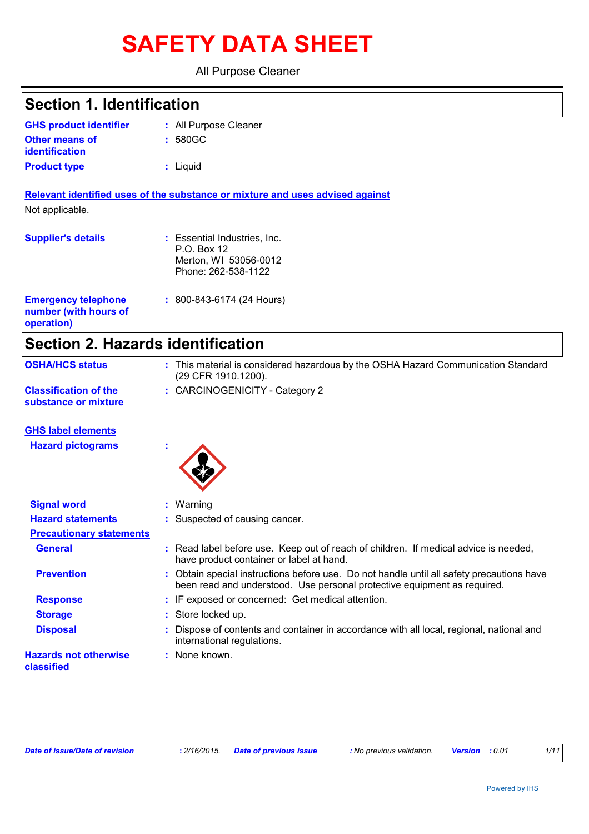# **SAFETY DATA SHEET**

All Purpose Cleaner

### **Section 1. Identification**

| <b>GHS product identifier</b> | : All Purpose Cleaner |
|-------------------------------|-----------------------|
| <b>Other means of</b>         | $: 580$ GC            |
| identification                |                       |
| <b>Product type</b>           | : Liguid              |

**Relevant identified uses of the substance or mixture and uses advised against** Not applicable.

| <b>Supplier's details</b>                                         | : Essential Industries, Inc.<br>P.O. Box 12<br>Merton, WI 53056-0012<br>Phone: 262-538-1122 |
|-------------------------------------------------------------------|---------------------------------------------------------------------------------------------|
| <b>Emergency telephone</b><br>number (with hours of<br>operation) | $: 800 - 843 - 6174$ (24 Hours)                                                             |

# **Section 2. Hazards identification**

| <b>OSHA/HCS status</b>                               | This material is considered hazardous by the OSHA Hazard Communication Standard<br>(29 CFR 1910.1200). |
|------------------------------------------------------|--------------------------------------------------------------------------------------------------------|
| <b>Classification of the</b><br>substance or mixture | : CARCINOGENICITY - Category 2                                                                         |

#### **GHS label elements**

**Hazard pictograms :**



| <b>Signal word</b>                         | $:$ Warning                                                                                                                                                           |
|--------------------------------------------|-----------------------------------------------------------------------------------------------------------------------------------------------------------------------|
| <b>Hazard statements</b>                   | : Suspected of causing cancer.                                                                                                                                        |
| <b>Precautionary statements</b>            |                                                                                                                                                                       |
| <b>General</b>                             | : Read label before use. Keep out of reach of children. If medical advice is needed,<br>have product container or label at hand.                                      |
| <b>Prevention</b>                          | : Obtain special instructions before use. Do not handle until all safety precautions have<br>been read and understood. Use personal protective equipment as required. |
| <b>Response</b>                            | : IF exposed or concerned: Get medical attention.                                                                                                                     |
| <b>Storage</b>                             | : Store locked up.                                                                                                                                                    |
| <b>Disposal</b>                            | : Dispose of contents and container in accordance with all local, regional, national and<br>international regulations.                                                |
| <b>Hazards not otherwise</b><br>classified | : None known.                                                                                                                                                         |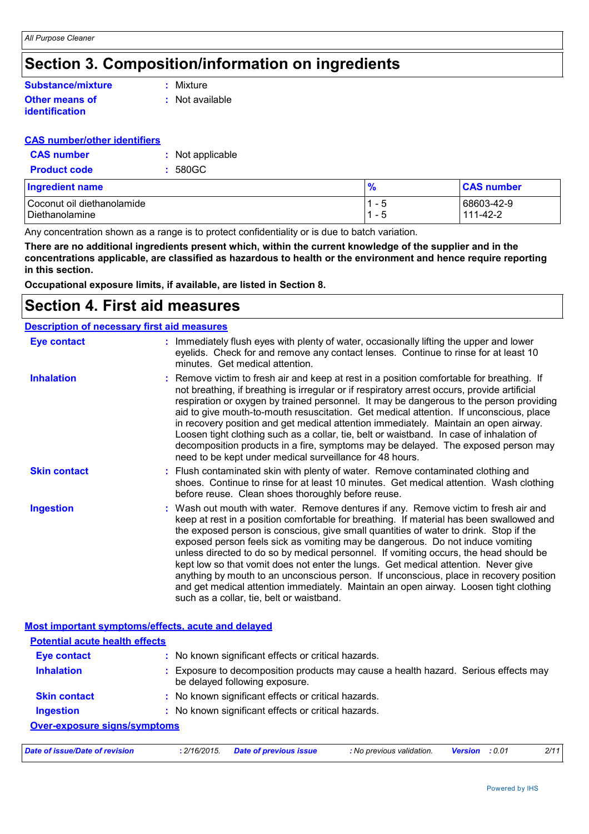# **Section 3. Composition/information on ingredients**

#### **Other means of identification Substance/mixture**

**:** Mixture

**:** Not available

#### **CAS number/other identifiers**

| <b>CAS</b> number   | : Not applicable |
|---------------------|------------------|
| <b>Product code</b> | $: 580$ GC       |

| <b>Ingredient name</b>     | $\frac{9}{6}$                 | <b>CAS number</b> |
|----------------------------|-------------------------------|-------------------|
| Coconut oil diethanolamide | и<br>$\overline{\phantom{0}}$ | 68603-42-9        |
| Diethanolamine             | - 5<br>$\overline{A}$         | 111-42-2          |

Any concentration shown as a range is to protect confidentiality or is due to batch variation.

**There are no additional ingredients present which, within the current knowledge of the supplier and in the concentrations applicable, are classified as hazardous to health or the environment and hence require reporting in this section.**

**Occupational exposure limits, if available, are listed in Section 8.**

### **Section 4. First aid measures**

| <b>Description of necessary first aid measures</b> |                                                                                                                                                                                                                                                                                                                                                                                                                                                                                                                                                                                                                                                                                                                                                                           |
|----------------------------------------------------|---------------------------------------------------------------------------------------------------------------------------------------------------------------------------------------------------------------------------------------------------------------------------------------------------------------------------------------------------------------------------------------------------------------------------------------------------------------------------------------------------------------------------------------------------------------------------------------------------------------------------------------------------------------------------------------------------------------------------------------------------------------------------|
| <b>Eye contact</b>                                 | : Immediately flush eyes with plenty of water, occasionally lifting the upper and lower<br>eyelids. Check for and remove any contact lenses. Continue to rinse for at least 10<br>minutes. Get medical attention.                                                                                                                                                                                                                                                                                                                                                                                                                                                                                                                                                         |
| <b>Inhalation</b>                                  | : Remove victim to fresh air and keep at rest in a position comfortable for breathing. If<br>not breathing, if breathing is irregular or if respiratory arrest occurs, provide artificial<br>respiration or oxygen by trained personnel. It may be dangerous to the person providing<br>aid to give mouth-to-mouth resuscitation. Get medical attention. If unconscious, place<br>in recovery position and get medical attention immediately. Maintain an open airway.<br>Loosen tight clothing such as a collar, tie, belt or waistband. In case of inhalation of<br>decomposition products in a fire, symptoms may be delayed. The exposed person may<br>need to be kept under medical surveillance for 48 hours.                                                       |
| <b>Skin contact</b>                                | : Flush contaminated skin with plenty of water. Remove contaminated clothing and<br>shoes. Continue to rinse for at least 10 minutes. Get medical attention. Wash clothing<br>before reuse. Clean shoes thoroughly before reuse.                                                                                                                                                                                                                                                                                                                                                                                                                                                                                                                                          |
| <b>Ingestion</b>                                   | : Wash out mouth with water. Remove dentures if any. Remove victim to fresh air and<br>keep at rest in a position comfortable for breathing. If material has been swallowed and<br>the exposed person is conscious, give small quantities of water to drink. Stop if the<br>exposed person feels sick as vomiting may be dangerous. Do not induce vomiting<br>unless directed to do so by medical personnel. If vomiting occurs, the head should be<br>kept low so that vomit does not enter the lungs. Get medical attention. Never give<br>anything by mouth to an unconscious person. If unconscious, place in recovery position<br>and get medical attention immediately. Maintain an open airway. Loosen tight clothing<br>such as a collar, tie, belt or waistband. |
|                                                    | Most important symptoms/effects, acute and delayed                                                                                                                                                                                                                                                                                                                                                                                                                                                                                                                                                                                                                                                                                                                        |
| <b>Potential acute health effects</b>              |                                                                                                                                                                                                                                                                                                                                                                                                                                                                                                                                                                                                                                                                                                                                                                           |
| <b>Eye contact</b>                                 | : No known significant effects or critical hazards.                                                                                                                                                                                                                                                                                                                                                                                                                                                                                                                                                                                                                                                                                                                       |
| <b>Inhalation</b>                                  | : Exposure to decomposition products may cause a health hazard. Serious effects may<br>be delayed following exposure.                                                                                                                                                                                                                                                                                                                                                                                                                                                                                                                                                                                                                                                     |
| <b>Skin contact</b>                                | : No known significant effects or critical hazards.                                                                                                                                                                                                                                                                                                                                                                                                                                                                                                                                                                                                                                                                                                                       |
| <b>Ingestion</b>                                   | : No known significant effects or critical hazards.                                                                                                                                                                                                                                                                                                                                                                                                                                                                                                                                                                                                                                                                                                                       |
| <b>Over-exposure signs/symptoms</b>                |                                                                                                                                                                                                                                                                                                                                                                                                                                                                                                                                                                                                                                                                                                                                                                           |
|                                                    |                                                                                                                                                                                                                                                                                                                                                                                                                                                                                                                                                                                                                                                                                                                                                                           |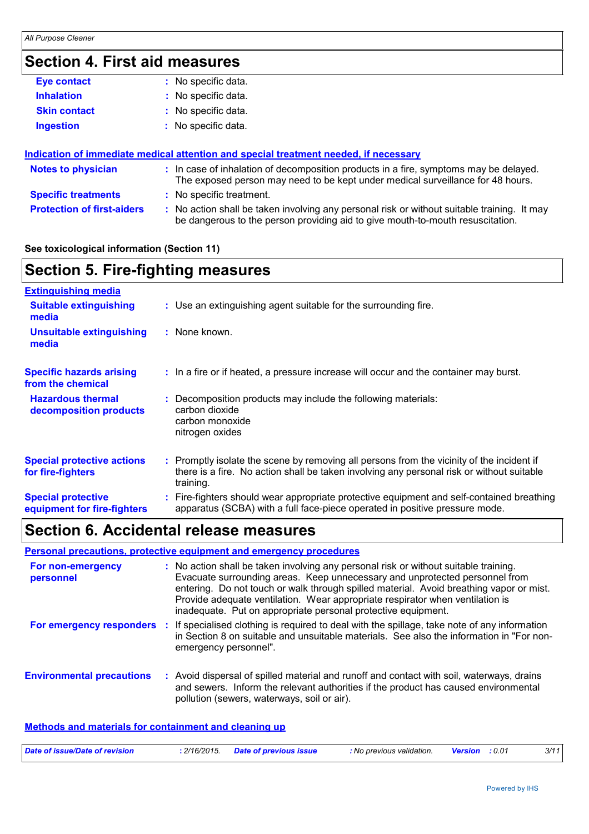# **Section 4. First aid measures**

| Eye contact         | : No specific data. |
|---------------------|---------------------|
| <b>Inhalation</b>   | : No specific data. |
| <b>Skin contact</b> | : No specific data. |
| <b>Ingestion</b>    | : No specific data. |
|                     |                     |

| Indication of immediate medical attention and special treatment needed, if necessary |  |                                                                                                                                                                               |  |
|--------------------------------------------------------------------------------------|--|-------------------------------------------------------------------------------------------------------------------------------------------------------------------------------|--|
| <b>Notes to physician</b>                                                            |  | : In case of inhalation of decomposition products in a fire, symptoms may be delayed.<br>The exposed person may need to be kept under medical surveillance for 48 hours.      |  |
| <b>Specific treatments</b>                                                           |  | : No specific treatment.                                                                                                                                                      |  |
| <b>Protection of first-aiders</b>                                                    |  | : No action shall be taken involving any personal risk or without suitable training. It may<br>be dangerous to the person providing aid to give mouth-to-mouth resuscitation. |  |

#### **See toxicological information (Section 11)**

| <b>Section 5. Fire-fighting measures</b>                 |                                                                                                                                                                                                     |  |  |  |
|----------------------------------------------------------|-----------------------------------------------------------------------------------------------------------------------------------------------------------------------------------------------------|--|--|--|
| <b>Extinguishing media</b>                               |                                                                                                                                                                                                     |  |  |  |
| <b>Suitable extinguishing</b><br>media                   | : Use an extinguishing agent suitable for the surrounding fire.                                                                                                                                     |  |  |  |
| Unsuitable extinguishing<br>media                        | : None known.                                                                                                                                                                                       |  |  |  |
| <b>Specific hazards arising</b><br>from the chemical     | : In a fire or if heated, a pressure increase will occur and the container may burst.                                                                                                               |  |  |  |
| <b>Hazardous thermal</b><br>decomposition products       | Decomposition products may include the following materials:<br>carbon dioxide<br>carbon monoxide<br>nitrogen oxides                                                                                 |  |  |  |
| <b>Special protective actions</b><br>for fire-fighters   | : Promptly isolate the scene by removing all persons from the vicinity of the incident if<br>there is a fire. No action shall be taken involving any personal risk or without suitable<br>training. |  |  |  |
| <b>Special protective</b><br>equipment for fire-fighters | Fire-fighters should wear appropriate protective equipment and self-contained breathing<br>apparatus (SCBA) with a full face-piece operated in positive pressure mode.                              |  |  |  |

# **Section 6. Accidental release measures**

#### **Personal precautions, protective equipment and emergency procedures**

| For non-emergency<br>personnel   | : No action shall be taken involving any personal risk or without suitable training.<br>Evacuate surrounding areas. Keep unnecessary and unprotected personnel from<br>entering. Do not touch or walk through spilled material. Avoid breathing vapor or mist.<br>Provide adequate ventilation. Wear appropriate respirator when ventilation is<br>inadequate. Put on appropriate personal protective equipment. |
|----------------------------------|------------------------------------------------------------------------------------------------------------------------------------------------------------------------------------------------------------------------------------------------------------------------------------------------------------------------------------------------------------------------------------------------------------------|
| For emergency responders :       | If specialised clothing is required to deal with the spillage, take note of any information<br>in Section 8 on suitable and unsuitable materials. See also the information in "For non-<br>emergency personnel".                                                                                                                                                                                                 |
| <b>Environmental precautions</b> | : Avoid dispersal of spilled material and runoff and contact with soil, waterways, drains<br>and sewers. Inform the relevant authorities if the product has caused environmental<br>pollution (sewers, waterways, soil or air).                                                                                                                                                                                  |

#### **Methods and materials for containment and cleaning up**

| Date of issue/Date of revision | : 2/16/2015 Date of previous issue | : No previous validation. | Version | : 0.01 | 3/11 |
|--------------------------------|------------------------------------|---------------------------|---------|--------|------|
|                                |                                    |                           |         |        |      |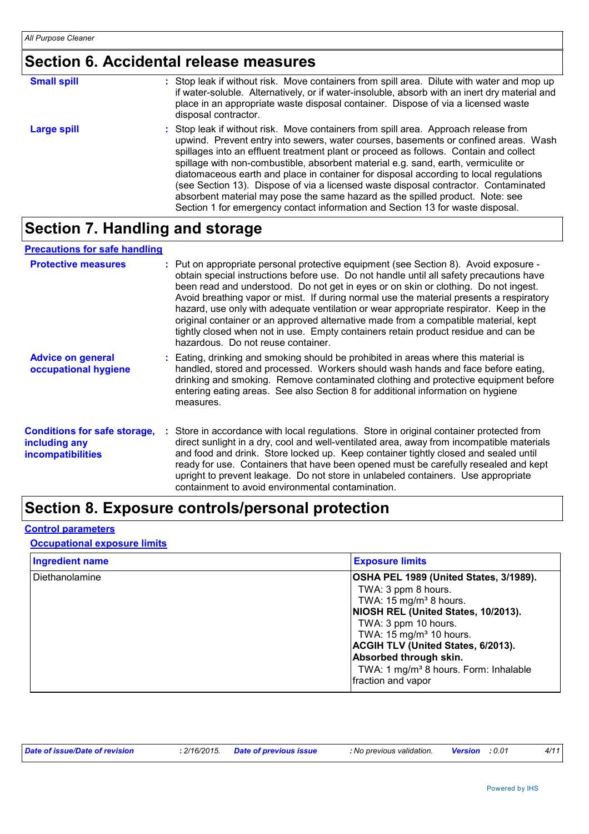# **Section 6. Accidental release measures**

| <b>Small spill</b> | : Stop leak if without risk. Move containers from spill area. Dilute with water and mop up<br>if water-soluble. Alternatively, or if water-insoluble, absorb with an inert dry material and<br>place in an appropriate waste disposal container. Dispose of via a licensed waste<br>disposal contractor.                                                                                                                                                                                                                                                                                                                                                                                                     |
|--------------------|--------------------------------------------------------------------------------------------------------------------------------------------------------------------------------------------------------------------------------------------------------------------------------------------------------------------------------------------------------------------------------------------------------------------------------------------------------------------------------------------------------------------------------------------------------------------------------------------------------------------------------------------------------------------------------------------------------------|
| <b>Large spill</b> | : Stop leak if without risk. Move containers from spill area. Approach release from<br>upwind. Prevent entry into sewers, water courses, basements or confined areas. Wash<br>spillages into an effluent treatment plant or proceed as follows. Contain and collect<br>spillage with non-combustible, absorbent material e.g. sand, earth, vermiculite or<br>diatomaceous earth and place in container for disposal according to local regulations<br>(see Section 13). Dispose of via a licensed waste disposal contractor. Contaminated<br>absorbent material may pose the same hazard as the spilled product. Note: see<br>Section 1 for emergency contact information and Section 13 for waste disposal. |

# **Section 7. Handling and storage**

#### **Precautions for safe handling**

| <b>Protective measures</b>                                                       | : Put on appropriate personal protective equipment (see Section 8). Avoid exposure -<br>obtain special instructions before use. Do not handle until all safety precautions have<br>been read and understood. Do not get in eyes or on skin or clothing. Do not ingest.<br>Avoid breathing vapor or mist. If during normal use the material presents a respiratory<br>hazard, use only with adequate ventilation or wear appropriate respirator. Keep in the<br>original container or an approved alternative made from a compatible material, kept<br>tightly closed when not in use. Empty containers retain product residue and can be<br>hazardous. Do not reuse container. |
|----------------------------------------------------------------------------------|--------------------------------------------------------------------------------------------------------------------------------------------------------------------------------------------------------------------------------------------------------------------------------------------------------------------------------------------------------------------------------------------------------------------------------------------------------------------------------------------------------------------------------------------------------------------------------------------------------------------------------------------------------------------------------|
| <b>Advice on general</b><br>occupational hygiene                                 | Eating, drinking and smoking should be prohibited in areas where this material is<br>handled, stored and processed. Workers should wash hands and face before eating,<br>drinking and smoking. Remove contaminated clothing and protective equipment before<br>entering eating areas. See also Section 8 for additional information on hygiene<br>measures.                                                                                                                                                                                                                                                                                                                    |
| <b>Conditions for safe storage,</b><br>including any<br><i>incompatibilities</i> | : Store in accordance with local regulations. Store in original container protected from<br>direct sunlight in a dry, cool and well-ventilated area, away from incompatible materials<br>and food and drink. Store locked up. Keep container tightly closed and sealed until<br>ready for use. Containers that have been opened must be carefully resealed and kept<br>upright to prevent leakage. Do not store in unlabeled containers. Use appropriate<br>containment to avoid environmental contamination.                                                                                                                                                                  |

# **Section 8. Exposure controls/personal protection**

#### **Control parameters**

#### **Occupational exposure limits**

| <b>Ingredient name</b> | <b>Exposure limits</b>                                                                                                                                                                                                                                                                                                                                    |
|------------------------|-----------------------------------------------------------------------------------------------------------------------------------------------------------------------------------------------------------------------------------------------------------------------------------------------------------------------------------------------------------|
| Diethanolamine         | OSHA PEL 1989 (United States, 3/1989).<br>TWA: 3 ppm 8 hours.<br>TWA: $15 \text{ mg/m}^3$ 8 hours.<br>NIOSH REL (United States, 10/2013).<br>TWA: 3 ppm 10 hours.<br>TWA: $15 \text{ mg/m}^3$ 10 hours.<br><b>ACGIH TLV (United States, 6/2013).</b><br>Absorbed through skin.<br>TWA: 1 mg/m <sup>3</sup> 8 hours. Form: Inhalable<br>fraction and vapor |

| Date of issue/Date of revision | 2/16/2015. | <b>Date of previous issue</b> | : No previous validation. | : 0.01<br>Version | 4/11 |
|--------------------------------|------------|-------------------------------|---------------------------|-------------------|------|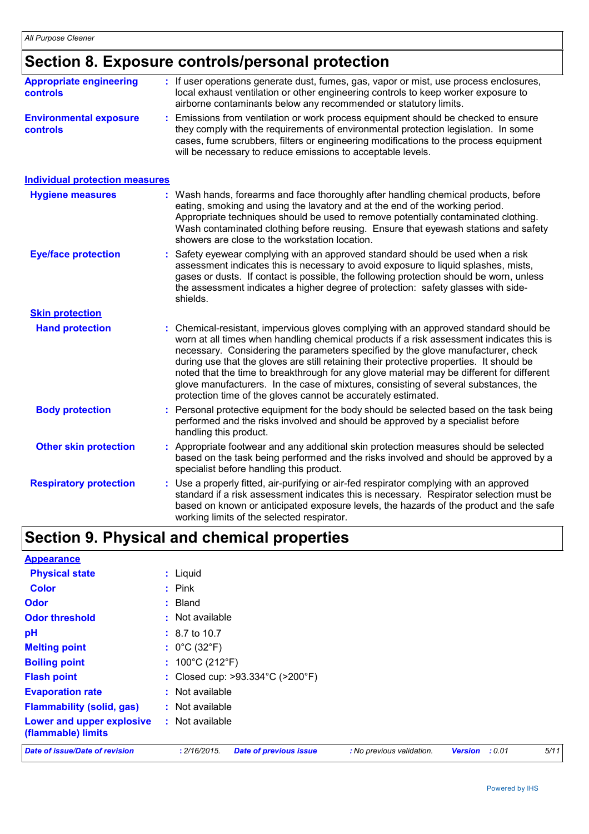# **Section 8. Exposure controls/personal protection**

| <b>Appropriate engineering</b><br><b>controls</b>                                                                                                                                                                                                                                                                                                                                                                          | If user operations generate dust, fumes, gas, vapor or mist, use process enclosures,<br>local exhaust ventilation or other engineering controls to keep worker exposure to<br>airborne contaminants below any recommended or statutory limits.                                                                                                                                                                                                                                                                                                                                                                       |  |  |  |
|----------------------------------------------------------------------------------------------------------------------------------------------------------------------------------------------------------------------------------------------------------------------------------------------------------------------------------------------------------------------------------------------------------------------------|----------------------------------------------------------------------------------------------------------------------------------------------------------------------------------------------------------------------------------------------------------------------------------------------------------------------------------------------------------------------------------------------------------------------------------------------------------------------------------------------------------------------------------------------------------------------------------------------------------------------|--|--|--|
| <b>Environmental exposure</b><br><b>controls</b>                                                                                                                                                                                                                                                                                                                                                                           | Emissions from ventilation or work process equipment should be checked to ensure<br>they comply with the requirements of environmental protection legislation. In some<br>cases, fume scrubbers, filters or engineering modifications to the process equipment<br>will be necessary to reduce emissions to acceptable levels.                                                                                                                                                                                                                                                                                        |  |  |  |
| <b>Individual protection measures</b>                                                                                                                                                                                                                                                                                                                                                                                      |                                                                                                                                                                                                                                                                                                                                                                                                                                                                                                                                                                                                                      |  |  |  |
| Wash hands, forearms and face thoroughly after handling chemical products, before<br><b>Hygiene measures</b><br>eating, smoking and using the lavatory and at the end of the working period.<br>Appropriate techniques should be used to remove potentially contaminated clothing.<br>Wash contaminated clothing before reusing. Ensure that eyewash stations and safety<br>showers are close to the workstation location. |                                                                                                                                                                                                                                                                                                                                                                                                                                                                                                                                                                                                                      |  |  |  |
| <b>Eye/face protection</b>                                                                                                                                                                                                                                                                                                                                                                                                 | Safety eyewear complying with an approved standard should be used when a risk<br>assessment indicates this is necessary to avoid exposure to liquid splashes, mists,<br>gases or dusts. If contact is possible, the following protection should be worn, unless<br>the assessment indicates a higher degree of protection: safety glasses with side-<br>shields.                                                                                                                                                                                                                                                     |  |  |  |
| <b>Skin protection</b>                                                                                                                                                                                                                                                                                                                                                                                                     |                                                                                                                                                                                                                                                                                                                                                                                                                                                                                                                                                                                                                      |  |  |  |
| <b>Hand protection</b>                                                                                                                                                                                                                                                                                                                                                                                                     | Chemical-resistant, impervious gloves complying with an approved standard should be<br>worn at all times when handling chemical products if a risk assessment indicates this is<br>necessary. Considering the parameters specified by the glove manufacturer, check<br>during use that the gloves are still retaining their protective properties. It should be<br>noted that the time to breakthrough for any glove material may be different for different<br>glove manufacturers. In the case of mixtures, consisting of several substances, the<br>protection time of the gloves cannot be accurately estimated. |  |  |  |
| <b>Body protection</b>                                                                                                                                                                                                                                                                                                                                                                                                     | Personal protective equipment for the body should be selected based on the task being<br>performed and the risks involved and should be approved by a specialist before<br>handling this product.                                                                                                                                                                                                                                                                                                                                                                                                                    |  |  |  |
| <b>Other skin protection</b>                                                                                                                                                                                                                                                                                                                                                                                               | Appropriate footwear and any additional skin protection measures should be selected<br>based on the task being performed and the risks involved and should be approved by a<br>specialist before handling this product.                                                                                                                                                                                                                                                                                                                                                                                              |  |  |  |
| <b>Respiratory protection</b>                                                                                                                                                                                                                                                                                                                                                                                              | : Use a properly fitted, air-purifying or air-fed respirator complying with an approved<br>standard if a risk assessment indicates this is necessary. Respirator selection must be<br>based on known or anticipated exposure levels, the hazards of the product and the safe<br>working limits of the selected respirator.                                                                                                                                                                                                                                                                                           |  |  |  |

# **Section 9. Physical and chemical properties**

| <b>Appearance</b>                               |                                                       |                           |                          |      |  |  |
|-------------------------------------------------|-------------------------------------------------------|---------------------------|--------------------------|------|--|--|
| <b>Physical state</b>                           | : Liquid                                              |                           |                          |      |  |  |
| <b>Color</b>                                    | $:$ Pink                                              |                           |                          |      |  |  |
| <b>Odor</b>                                     | $:$ Bland                                             |                           |                          |      |  |  |
| <b>Odor threshold</b>                           | $:$ Not available                                     |                           |                          |      |  |  |
| рH                                              | $: 8.7 \text{ to } 10.7$                              |                           |                          |      |  |  |
| <b>Melting point</b>                            | : $0^{\circ}$ C (32 $^{\circ}$ F)                     |                           |                          |      |  |  |
| <b>Boiling point</b>                            | : $100^{\circ}$ C (212 $^{\circ}$ F)                  |                           |                          |      |  |  |
| <b>Flash point</b>                              | : Closed cup: $>93.334^{\circ}$ C ( $>200^{\circ}$ F) |                           |                          |      |  |  |
| <b>Evaporation rate</b>                         | : Not available                                       |                           |                          |      |  |  |
| <b>Flammability (solid, gas)</b>                | $:$ Not available                                     |                           |                          |      |  |  |
| Lower and upper explosive<br>(flammable) limits | : Not available                                       |                           |                          |      |  |  |
| Date of issue/Date of revision                  | : 2/16/2015.<br><b>Date of previous issue</b>         | : No previous validation. | : 0.01<br><b>Version</b> | 5/11 |  |  |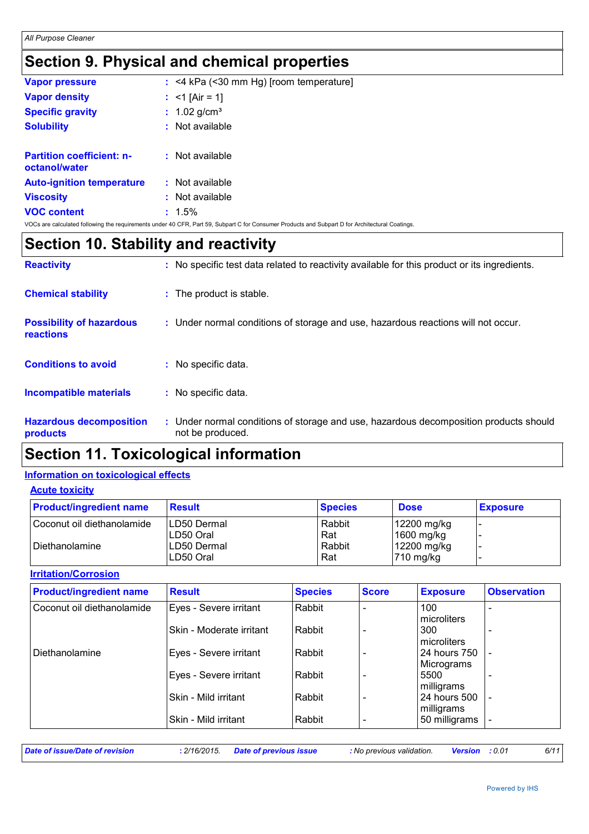# **Section 9. Physical and chemical properties**

| <b>Vapor pressure</b>                             | $:$ <4 kPa (<30 mm Hg) [room temperature]                                                                                                       |
|---------------------------------------------------|-------------------------------------------------------------------------------------------------------------------------------------------------|
| <b>Vapor density</b>                              | : $<$ 1 [Air = 1]                                                                                                                               |
| <b>Specific gravity</b>                           | : $1.02$ g/cm <sup>3</sup>                                                                                                                      |
| <b>Solubility</b>                                 | $:$ Not available                                                                                                                               |
| <b>Partition coefficient: n-</b><br>octanol/water | : Not available                                                                                                                                 |
| <b>Auto-ignition temperature</b>                  | $:$ Not available                                                                                                                               |
| <b>Viscosity</b>                                  | : Not available                                                                                                                                 |
| <b>VOC content</b>                                | $: 1.5\%$                                                                                                                                       |
|                                                   | VOCs are calculated following the requirements under 40 CFR, Part 59, Subpart C for Consumer Products and Subpart D for Architectural Coatings. |

### **Section 10. Stability and reactivity**

| <b>Reactivity</b>                                   | : No specific test data related to reactivity available for this product or its ingredients.              |
|-----------------------------------------------------|-----------------------------------------------------------------------------------------------------------|
| <b>Chemical stability</b>                           | : The product is stable.                                                                                  |
| <b>Possibility of hazardous</b><br><b>reactions</b> | : Under normal conditions of storage and use, hazardous reactions will not occur.                         |
| <b>Conditions to avoid</b>                          | : No specific data.                                                                                       |
| <b>Incompatible materials</b>                       | : No specific data.                                                                                       |
| <b>Hazardous decomposition</b><br>products          | : Under normal conditions of storage and use, hazardous decomposition products should<br>not be produced. |

# **Section 11. Toxicological information**

#### **Information on toxicological effects**

| <b>Acute toxicity</b> |  |
|-----------------------|--|
|-----------------------|--|

| <b>Product/ingredient name</b> | <b>Result</b>                    | <b>Species</b> | <b>Dose</b>                          | <b>Exposure</b> |
|--------------------------------|----------------------------------|----------------|--------------------------------------|-----------------|
| Coconut oil diethanolamide     | <b>LD50 Dermal</b><br>ILD50 Oral | Rabbit<br>Rat  | 12200 mg/kg<br>1600 mg/kg            | -               |
| l Diethanolamine               | <b>LD50 Dermal</b><br>LD50 Oral  | Rabbit<br>Rat  | 12200 mg/kg<br>$ 710 \text{ mg/kg} $ |                 |

**Irritation/Corrosion**

| <b>Product/ingredient name</b> | <b>Result</b>            | <b>Species</b> | <b>Score</b> | <b>Exposure</b>            | <b>Observation</b> |
|--------------------------------|--------------------------|----------------|--------------|----------------------------|--------------------|
| Coconut oil diethanolamide     | Eyes - Severe irritant   | Rabbit         |              | 100<br>microliters         |                    |
|                                | Skin - Moderate irritant | Rabbit         |              | 300<br>microliters         |                    |
| Diethanolamine                 | Eyes - Severe irritant   | Rabbit         |              | 24 hours 750<br>Micrograms |                    |
|                                | Eyes - Severe irritant   | Rabbit         |              | 5500<br>milligrams         |                    |
|                                | lSkin - Mild irritant    | Rabbit         |              | 24 hours 500<br>milligrams |                    |
|                                | Skin - Mild irritant     | Rabbit         |              | 50 milligrams              |                    |

*Date of issue/Date of revision* **:** *2/16/2015. Date of previous issue : No previous validation. Version : 0.01 6/11*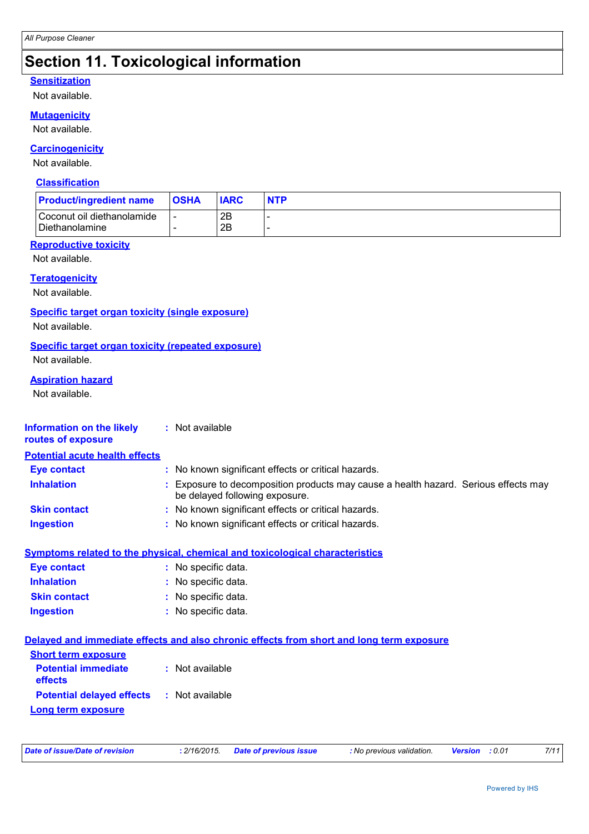### **Section 11. Toxicological information**

#### **Sensitization**

Not available.

#### **Mutagenicity**

Not available.

#### **Carcinogenicity**

Not available.

#### **Classification**

| <b>Product/ingredient name</b>                 | <b>OSHA</b> | <b>IARC</b> | <b>NTP</b> |
|------------------------------------------------|-------------|-------------|------------|
| Coconut oil diethanolamide<br>l Diethanolamine |             | 2B<br>2Β    |            |

#### **Reproductive toxicity**

Not available.

#### **Teratogenicity**

Not available.

#### **Specific target organ toxicity (single exposure)**

Not available.

#### **Specific target organ toxicity (repeated exposure)**

Not available.

#### **Aspiration hazard**

Not available.

| Information on the likely<br>routes of exposure | : Not available                                                                                                                                                                                                                |
|-------------------------------------------------|--------------------------------------------------------------------------------------------------------------------------------------------------------------------------------------------------------------------------------|
| <b>Potential acute health effects</b>           |                                                                                                                                                                                                                                |
| Eye contact                                     | : No known significant e                                                                                                                                                                                                       |
| .                                               | in the common security of the common security of the common security of the common security of the common security of the common security of the common security of the common security of the common security of the common s |

ficant effects or critical hazards.

- **Inhalation :** Exposure to decomposition products may cause a health hazard. Serious effects may be delayed following exposure.
- **Skin contact :** No known significant effects or critical hazards.
- **Ingestion :** No known significant effects or critical hazards.

#### **Symptoms related to the physical, chemical and toxicological characteristics**

| <b>Eye contact</b>  | : No specific data. |
|---------------------|---------------------|
| <b>Inhalation</b>   | : No specific data. |
| <b>Skin contact</b> | : No specific data. |
| <b>Ingestion</b>    | : No specific data. |

#### **Delayed and immediate effects and also chronic effects from short and long term exposure**

| <b>Short term exposure</b>            |                 |
|---------------------------------------|-----------------|
| <b>Potential immediate</b><br>effects | : Not available |
| <b>Potential delayed effects</b>      | : Not available |
| Long term exposure                    |                 |

| Date of issue/Date of revision |  | : 2/16/2015. Date of previous issue | : No previous validation. | <b>Version</b> : 0.01 | 7/11 |
|--------------------------------|--|-------------------------------------|---------------------------|-----------------------|------|
|--------------------------------|--|-------------------------------------|---------------------------|-----------------------|------|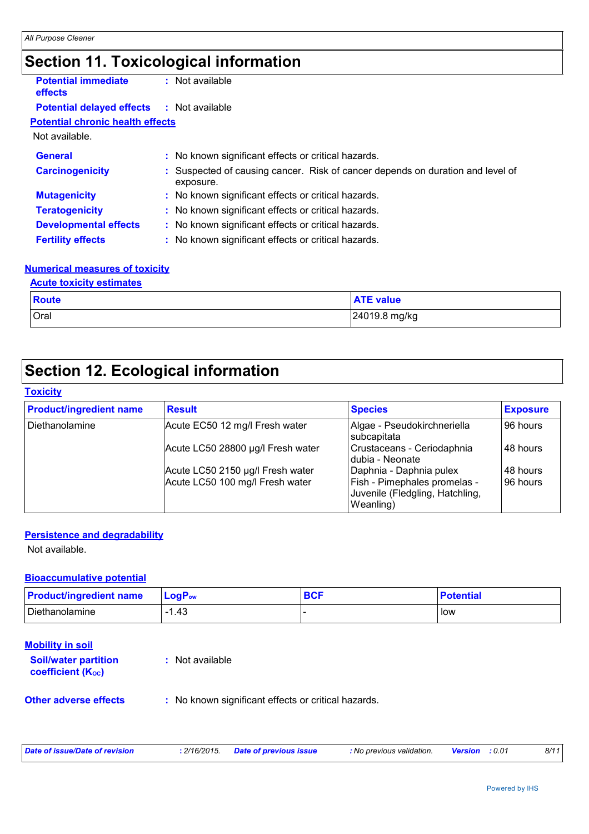# **Section 11. Toxicological information**

| <b>Potential immediate</b><br>effects   | : Not available                                                                           |  |
|-----------------------------------------|-------------------------------------------------------------------------------------------|--|
| <b>Potential delayed effects</b>        | : Not available                                                                           |  |
| <b>Potential chronic health effects</b> |                                                                                           |  |
| Not available.                          |                                                                                           |  |
| <b>General</b>                          | : No known significant effects or critical hazards.                                       |  |
| <b>Carcinogenicity</b>                  | Suspected of causing cancer. Risk of cancer depends on duration and level of<br>exposure. |  |
| <b>Mutagenicity</b>                     | : No known significant effects or critical hazards.                                       |  |
| <b>Teratogenicity</b>                   | : No known significant effects or critical hazards.                                       |  |
| <b>Developmental effects</b>            | : No known significant effects or critical hazards.                                       |  |
| <b>Fertility effects</b>                | : No known significant effects or critical hazards.                                       |  |
|                                         |                                                                                           |  |

#### **Numerical measures of toxicity**

| <b>Acute toxicity estimates</b> |                  |  |
|---------------------------------|------------------|--|
| Route                           | <b>ATE value</b> |  |
| Oral                            | 24019.8 mg/kg    |  |

# **Section 12. Ecological information**

#### **Toxicity**

| <b>Product/ingredient name</b> | <b>Result</b>                                                       | <b>Species</b>                                                                                          | <b>Exposure</b>      |
|--------------------------------|---------------------------------------------------------------------|---------------------------------------------------------------------------------------------------------|----------------------|
| Diethanolamine                 | Acute EC50 12 mg/l Fresh water                                      | Algae - Pseudokirchneriella<br>subcapitata                                                              | 96 hours             |
|                                | Acute LC50 28800 µg/l Fresh water                                   | Crustaceans - Ceriodaphnia<br>dubia - Neonate                                                           | 48 hours             |
|                                | Acute LC50 2150 µg/l Fresh water<br>Acute LC50 100 mg/l Fresh water | Daphnia - Daphnia pulex<br>Fish - Pimephales promelas -<br>Juvenile (Fledgling, Hatchling,<br>Weanling) | 48 hours<br>96 hours |

#### **Persistence and degradability**

Not available.

#### **Bioaccumulative potential**

| <b>Product/ingredient name</b> | $LogPow$ | <b>Potential</b> |
|--------------------------------|----------|------------------|
| Diethanolamine                 | l.43     | low              |

| <b>Mobility in soil</b><br><b>Soil/water partition</b><br><b>coefficient (Koc)</b> | : Not available                                     |
|------------------------------------------------------------------------------------|-----------------------------------------------------|
| <b>Other adverse effects</b>                                                       | : No known significant effects or critical hazards. |

| Date of issue/Date of revision | : 2/16/2015. | <b>Date of previous issue</b> | : No previous validation. | Version<br>: 0.01 | 8/11 |
|--------------------------------|--------------|-------------------------------|---------------------------|-------------------|------|
|                                |              |                               |                           |                   |      |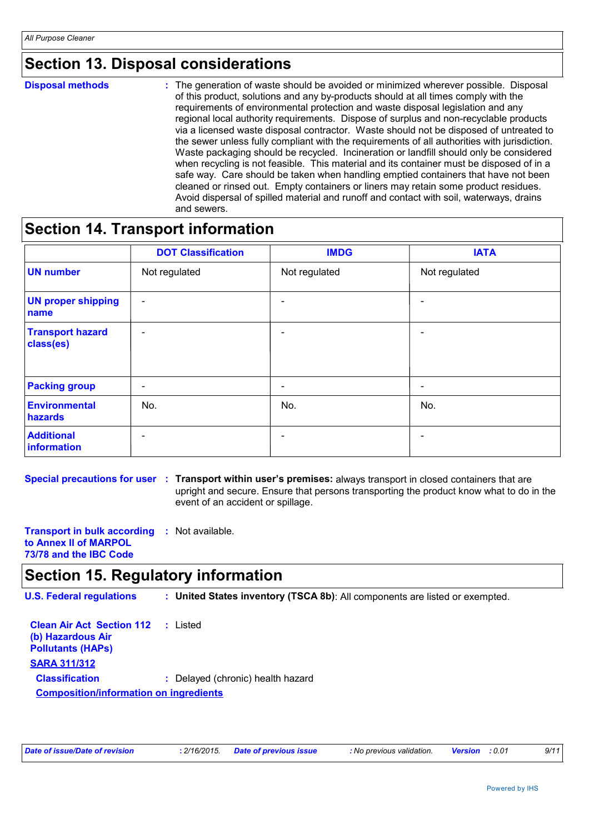### **Section 13. Disposal considerations**

**Disposal methods :**

The generation of waste should be avoided or minimized wherever possible. Disposal of this product, solutions and any by-products should at all times comply with the requirements of environmental protection and waste disposal legislation and any regional local authority requirements. Dispose of surplus and non-recyclable products via a licensed waste disposal contractor. Waste should not be disposed of untreated to the sewer unless fully compliant with the requirements of all authorities with jurisdiction. Waste packaging should be recycled. Incineration or landfill should only be considered when recycling is not feasible. This material and its container must be disposed of in a safe way. Care should be taken when handling emptied containers that have not been cleaned or rinsed out. Empty containers or liners may retain some product residues. Avoid dispersal of spilled material and runoff and contact with soil, waterways, drains and sewers.

### **Section 14. Transport information**

|                                      | <b>DOT Classification</b> | <b>IMDG</b>              | <b>IATA</b>   |
|--------------------------------------|---------------------------|--------------------------|---------------|
| <b>UN</b> number                     | Not regulated             | Not regulated            | Not regulated |
| <b>UN proper shipping</b><br>name    | $\overline{\phantom{a}}$  |                          |               |
| <b>Transport hazard</b><br>class(es) | $\overline{\phantom{0}}$  |                          |               |
| <b>Packing group</b>                 | $\overline{\phantom{0}}$  | $\overline{\phantom{0}}$ | -             |
| Environmental<br>hazards             | No.                       | No.                      | No.           |
| <b>Additional</b><br>information     |                           |                          |               |

**Special precautions for user : Transport within user's premises: always transport in closed containers that are** upright and secure. Ensure that persons transporting the product know what to do in the event of an accident or spillage.

**Transport in bulk according :** Not available. **to Annex II of MARPOL 73/78 and the IBC Code**

### **Section 15. Regulatory information**

**U.S. Federal regulations : United States inventory (TSCA 8b)**: All components are listed or exempted.

| <b>Clean Air Act Section 112</b> : Listed<br>(b) Hazardous Air<br><b>Pollutants (HAPS)</b> |                                   |  |
|--------------------------------------------------------------------------------------------|-----------------------------------|--|
| <b>SARA 311/312</b>                                                                        |                                   |  |
| <b>Classification</b>                                                                      | : Delayed (chronic) health hazard |  |
| <b>Composition/information on ingredients</b>                                              |                                   |  |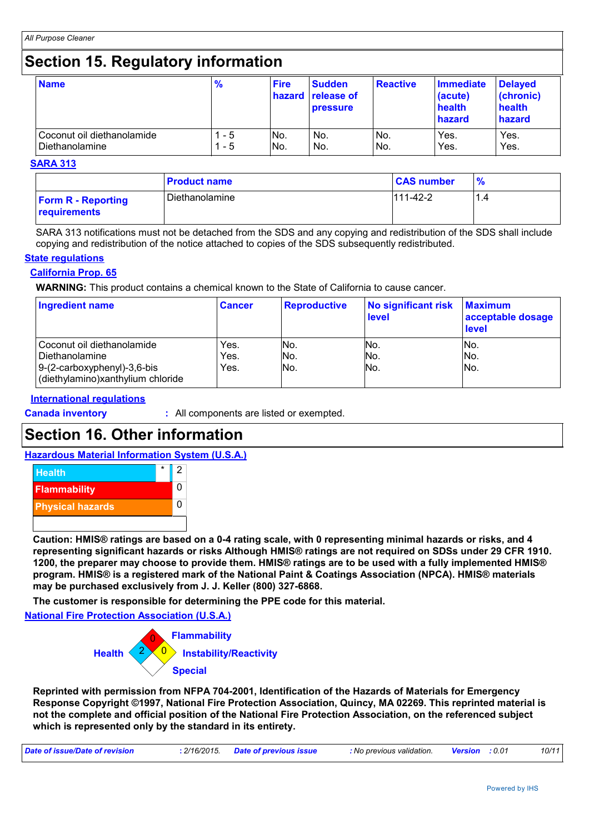### **Section 15. Regulatory information**

| <b>Name</b>                | $\frac{9}{6}$ | <b>Fire</b> | <b>Sudden</b><br>hazard release of<br><b>pressure</b> | <b>Reactive</b> | <b>Immediate</b><br>(acute)<br>health<br>hazard | <b>Delayed</b><br>(chronic)<br>health<br>hazard |
|----------------------------|---------------|-------------|-------------------------------------------------------|-----------------|-------------------------------------------------|-------------------------------------------------|
| Coconut oil diethanolamide | - 5           | No.         | No.                                                   | No.             | Yes.                                            | Yes.                                            |
| Diethanolamine             | - 5           | No.         | No.                                                   | No.             | Yes.                                            | Yes.                                            |

#### **SARA 313**

|                                           | <b>Product name</b> | <b>CAS number</b> |     |
|-------------------------------------------|---------------------|-------------------|-----|
| <b>Form R - Reporting</b><br>requirements | Diethanolamine      | $111-42-2$        | 1.4 |

SARA 313 notifications must not be detached from the SDS and any copying and redistribution of the SDS shall include copying and redistribution of the notice attached to copies of the SDS subsequently redistributed.

#### **State regulations**

#### **California Prop. 65**

**WARNING:** This product contains a chemical known to the State of California to cause cancer.

| <b>Ingredient name</b>                                                                                             | <b>Cancer</b>        | <b>Reproductive</b> | No significant risk<br><b>level</b> | <b>Maximum</b><br>acceptable dosage<br><b>level</b> |
|--------------------------------------------------------------------------------------------------------------------|----------------------|---------------------|-------------------------------------|-----------------------------------------------------|
| Coconut oil diethanolamide<br>Diethanolamine<br>$9-(2-carboxyphenyl)-3,6-bis$<br>(diethylamino)xanthylium chloride | Yes.<br>Yes.<br>Yes. | INo.<br>No.<br>No.  | No.<br>No.<br>No.                   | INo.<br>No.<br>No.                                  |

#### **International regulations**

**Canada inventory :** All components are listed or exempted.

### **Section 16. Other information**

#### **Hazardous Material Information System (U.S.A.)**



**Caution: HMIS® ratings are based on a 0-4 rating scale, with 0 representing minimal hazards or risks, and 4 representing significant hazards or risks Although HMIS® ratings are not required on SDSs under 29 CFR 1910. 1200, the preparer may choose to provide them. HMIS® ratings are to be used with a fully implemented HMIS® program. HMIS® is a registered mark of the National Paint & Coatings Association (NPCA). HMIS® materials may be purchased exclusively from J. J. Keller (800) 327-6868.**

**The customer is responsible for determining the PPE code for this material.**

**National Fire Protection Association (U.S.A.)**



**Reprinted with permission from NFPA 704-2001, Identification of the Hazards of Materials for Emergency Response Copyright ©1997, National Fire Protection Association, Quincy, MA 02269. This reprinted material is not the complete and official position of the National Fire Protection Association, on the referenced subject which is represented only by the standard in its entirety.**

| Date of issue/Date of revision | : 2/16/2015. Date of previous issue | : No previous validation. | <b>Version</b> : 0.01 | 10/11 |
|--------------------------------|-------------------------------------|---------------------------|-----------------------|-------|
|                                |                                     |                           |                       |       |